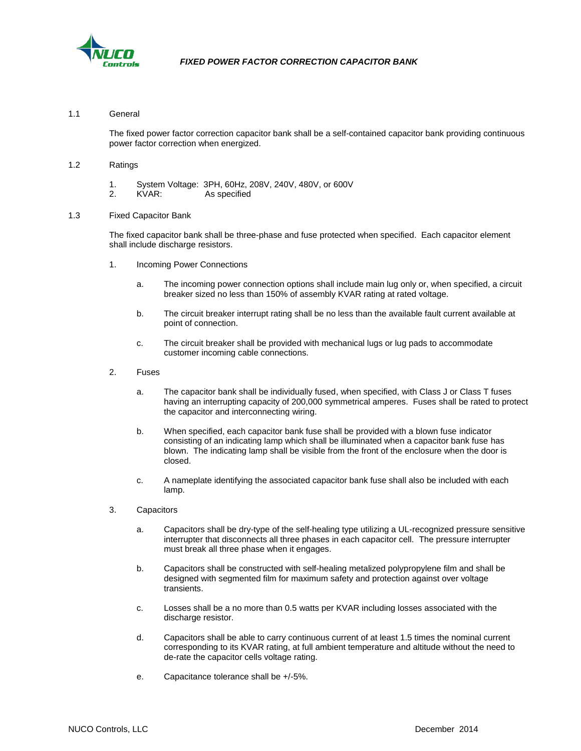

### 1.1 General

The fixed power factor correction capacitor bank shall be a self-contained capacitor bank providing continuous power factor correction when energized.

#### 1.2 Ratings

- 1. System Voltage: 3PH, 60Hz, 208V, 240V, 480V, or 600V
- KVAR: As specified

#### 1.3 Fixed Capacitor Bank

The fixed capacitor bank shall be three-phase and fuse protected when specified. Each capacitor element shall include discharge resistors.

- 1. Incoming Power Connections
	- a. The incoming power connection options shall include main lug only or, when specified, a circuit breaker sized no less than 150% of assembly KVAR rating at rated voltage.
	- b. The circuit breaker interrupt rating shall be no less than the available fault current available at point of connection.
	- c. The circuit breaker shall be provided with mechanical lugs or lug pads to accommodate customer incoming cable connections.
- 2. Fuses
	- a. The capacitor bank shall be individually fused, when specified, with Class J or Class T fuses having an interrupting capacity of 200,000 symmetrical amperes. Fuses shall be rated to protect the capacitor and interconnecting wiring.
	- b. When specified, each capacitor bank fuse shall be provided with a blown fuse indicator consisting of an indicating lamp which shall be illuminated when a capacitor bank fuse has blown. The indicating lamp shall be visible from the front of the enclosure when the door is closed.
	- c. A nameplate identifying the associated capacitor bank fuse shall also be included with each lamp.
- 3. Capacitors
	- a. Capacitors shall be dry-type of the self-healing type utilizing a UL-recognized pressure sensitive interrupter that disconnects all three phases in each capacitor cell. The pressure interrupter must break all three phase when it engages.
	- b. Capacitors shall be constructed with self-healing metalized polypropylene film and shall be designed with segmented film for maximum safety and protection against over voltage transients.
	- c. Losses shall be a no more than 0.5 watts per KVAR including losses associated with the discharge resistor.
	- d. Capacitors shall be able to carry continuous current of at least 1.5 times the nominal current corresponding to its KVAR rating, at full ambient temperature and altitude without the need to de-rate the capacitor cells voltage rating.
	- e. Capacitance tolerance shall be +/-5%.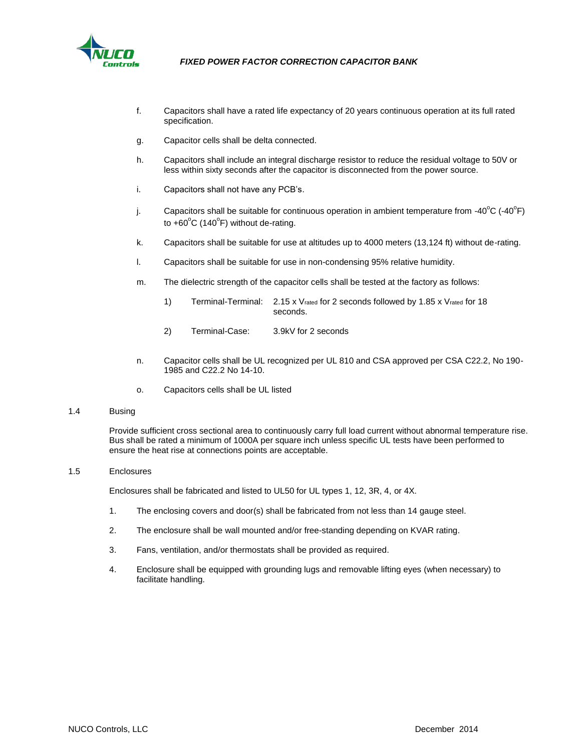

- f. Capacitors shall have a rated life expectancy of 20 years continuous operation at its full rated specification.
- g. Capacitor cells shall be delta connected.
- h. Capacitors shall include an integral discharge resistor to reduce the residual voltage to 50V or less within sixty seconds after the capacitor is disconnected from the power source.
- i. Capacitors shall not have any PCB's.
- j. Capacitors shall be suitable for continuous operation in ambient temperature from -40<sup>o</sup>C (-40<sup>o</sup>F) to  $+60^{\circ}$ C (140 $^{\circ}$ F) without de-rating.
- k. Capacitors shall be suitable for use at altitudes up to 4000 meters (13,124 ft) without de-rating.
- l. Capacitors shall be suitable for use in non-condensing 95% relative humidity.
- m. The dielectric strength of the capacitor cells shall be tested at the factory as follows:
	- 1) Terminal-Terminal: 2.15 x Vrated for 2 seconds followed by 1.85 x Vrated for 18 seconds.
	- 2) Terminal-Case: 3.9kV for 2 seconds
- n. Capacitor cells shall be UL recognized per UL 810 and CSA approved per CSA C22.2, No 190- 1985 and C22.2 No 14-10.
- o. Capacitors cells shall be UL listed

#### 1.4 Busing

Provide sufficient cross sectional area to continuously carry full load current without abnormal temperature rise. Bus shall be rated a minimum of 1000A per square inch unless specific UL tests have been performed to ensure the heat rise at connections points are acceptable.

### 1.5 Enclosures

Enclosures shall be fabricated and listed to UL50 for UL types 1, 12, 3R, 4, or 4X.

- 1. The enclosing covers and door(s) shall be fabricated from not less than 14 gauge steel.
- 2. The enclosure shall be wall mounted and/or free-standing depending on KVAR rating.
- 3. Fans, ventilation, and/or thermostats shall be provided as required.
- 4. Enclosure shall be equipped with grounding lugs and removable lifting eyes (when necessary) to facilitate handling.